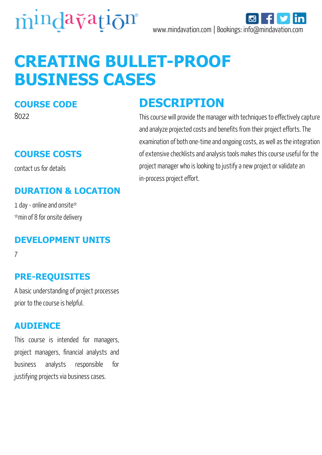



# **CREATING BULLET-PROOF BUSINESS CASES**

#### **COURSE CODE**

8022

#### **COURSE COSTS**

contact us for details

#### **DURATION & LOCATION**

1 day - online and onsite\* \*min of 8 for onsite delivery

#### **DEVELOPMENT UNITS**

7

#### **PRE-REQUISITES**

A basic understanding of project processes prior to the course is helpful.

#### **AUDIENCE**

This course is intended for managers, project managers, financial analysts and business analysts responsible for justifying projects via business cases.

## **DESCRIPTION**

This course will provide the manager with techniques to effectively capture and analyze projected costs and benefits from their project efforts. The examination of both one-time and ongoing costs, as well as the integration of extensive checklists and analysis tools makes this course useful for the project manager who is looking to justify a new project or validate an in-process project effort.